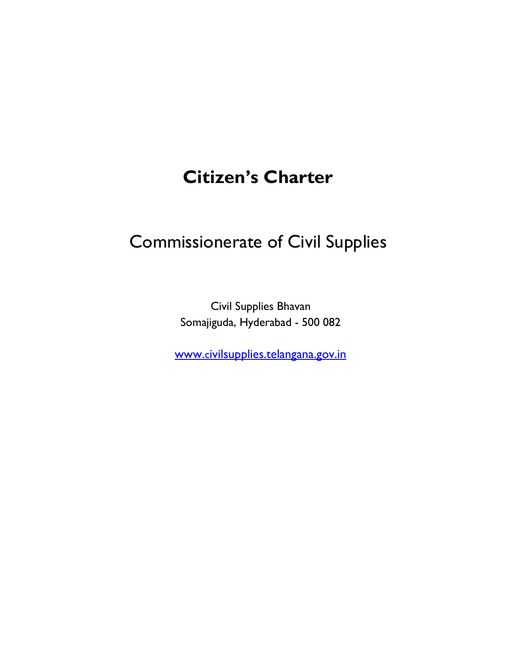# Citizen's Charter

# Commissionerate of Civil Supplies

Civil Supplies Bhavan Somajiguda, Hyderabad - 500 082

www.civilsupplies.telangana.gov.in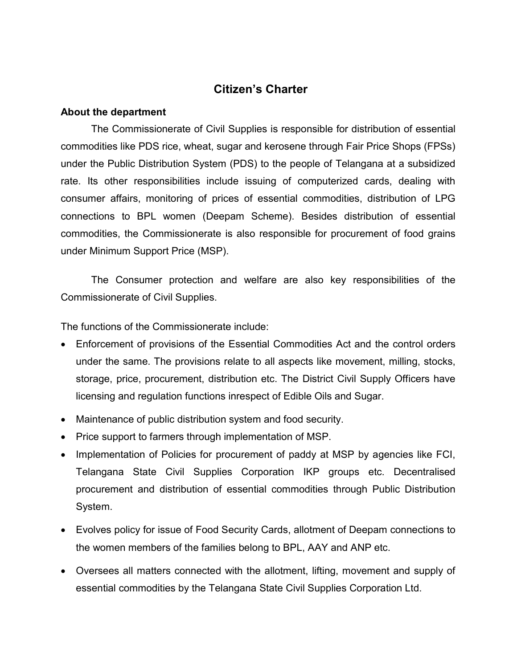# Citizen's Charter

#### About the department

The Commissionerate of Civil Supplies is responsible for distribution of essential commodities like PDS rice, wheat, sugar and kerosene through Fair Price Shops (FPSs) under the Public Distribution System (PDS) to the people of Telangana at a subsidized rate. Its other responsibilities include issuing of computerized cards, dealing with consumer affairs, monitoring of prices of essential commodities, distribution of LPG connections to BPL women (Deepam Scheme). Besides distribution of essential commodities, the Commissionerate is also responsible for procurement of food grains under Minimum Support Price (MSP).

The Consumer protection and welfare are also key responsibilities of the Commissionerate of Civil Supplies.

The functions of the Commissionerate include:

- Enforcement of provisions of the Essential Commodities Act and the control orders under the same. The provisions relate to all aspects like movement, milling, stocks, storage, price, procurement, distribution etc. The District Civil Supply Officers have licensing and regulation functions inrespect of Edible Oils and Sugar.
- Maintenance of public distribution system and food security.
- Price support to farmers through implementation of MSP.
- Implementation of Policies for procurement of paddy at MSP by agencies like FCI, Telangana State Civil Supplies Corporation IKP groups etc. Decentralised procurement and distribution of essential commodities through Public Distribution System.
- Evolves policy for issue of Food Security Cards, allotment of Deepam connections to the women members of the families belong to BPL, AAY and ANP etc.
- Oversees all matters connected with the allotment, lifting, movement and supply of essential commodities by the Telangana State Civil Supplies Corporation Ltd.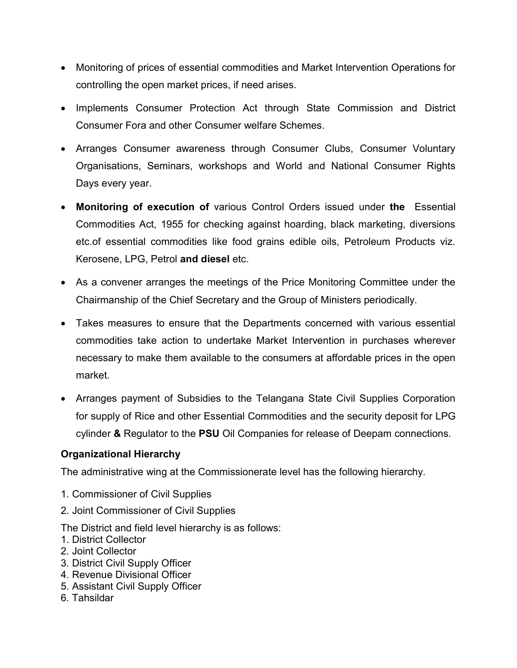- Monitoring of prices of essential commodities and Market Intervention Operations for controlling the open market prices, if need arises.
- Implements Consumer Protection Act through State Commission and District Consumer Fora and other Consumer welfare Schemes.
- Arranges Consumer awareness through Consumer Clubs, Consumer Voluntary Organisations, Seminars, workshops and World and National Consumer Rights Days every year.
- Monitoring of execution of various Control Orders issued under the Essential Commodities Act, 1955 for checking against hoarding, black marketing, diversions etc.of essential commodities like food grains edible oils, Petroleum Products viz. Kerosene, LPG, Petrol and diesel etc.
- As a convener arranges the meetings of the Price Monitoring Committee under the Chairmanship of the Chief Secretary and the Group of Ministers periodically.
- Takes measures to ensure that the Departments concerned with various essential commodities take action to undertake Market Intervention in purchases wherever necessary to make them available to the consumers at affordable prices in the open market.
- Arranges payment of Subsidies to the Telangana State Civil Supplies Corporation for supply of Rice and other Essential Commodities and the security deposit for LPG cylinder & Regulator to the PSU Oil Companies for release of Deepam connections.

#### Organizational Hierarchy

The administrative wing at the Commissionerate level has the following hierarchy.

- 1. Commissioner of Civil Supplies
- 2. Joint Commissioner of Civil Supplies

The District and field level hierarchy is as follows:

- 1. District Collector
- 2. Joint Collector
- 3. District Civil Supply Officer
- 4. Revenue Divisional Officer
- 5. Assistant Civil Supply Officer
- 6. Tahsildar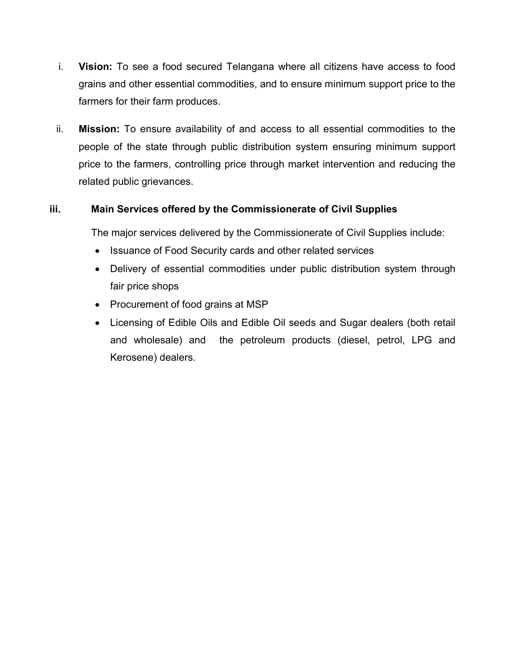- i. Vision: To see a food secured Telangana where all citizens have access to food grains and other essential commodities, and to ensure minimum support price to the farmers for their farm produces.
- ii. Mission: To ensure availability of and access to all essential commodities to the people of the state through public distribution system ensuring minimum support price to the farmers, controlling price through market intervention and reducing the related public grievances.

#### iii. Main Services offered by the Commissionerate of Civil Supplies

The major services delivered by the Commissionerate of Civil Supplies include:

- Issuance of Food Security cards and other related services
- Delivery of essential commodities under public distribution system through fair price shops
- Procurement of food grains at MSP
- Licensing of Edible Oils and Edible Oil seeds and Sugar dealers (both retail and wholesale) and the petroleum products (diesel, petrol, LPG and Kerosene) dealers.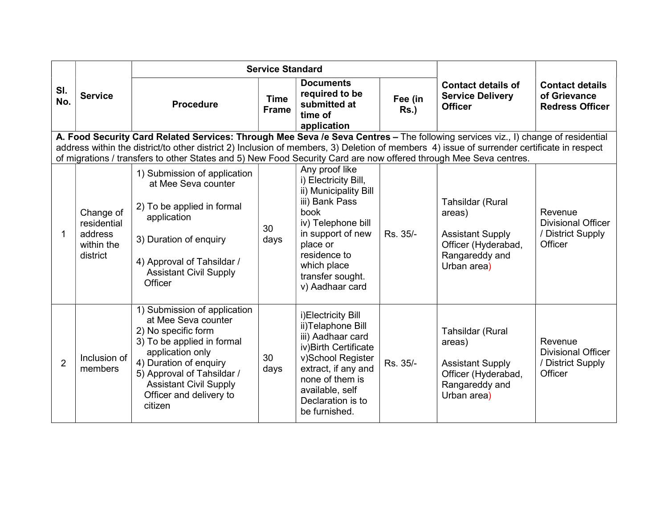|                |                                                               | <b>Service Standard</b>                                                                                                                                                                                                                                                        |                             |                                                                                                                                                                                                                        |                    |                                                                                                               |                                                                      |
|----------------|---------------------------------------------------------------|--------------------------------------------------------------------------------------------------------------------------------------------------------------------------------------------------------------------------------------------------------------------------------|-----------------------------|------------------------------------------------------------------------------------------------------------------------------------------------------------------------------------------------------------------------|--------------------|---------------------------------------------------------------------------------------------------------------|----------------------------------------------------------------------|
| SI.<br>No.     | <b>Service</b>                                                | <b>Procedure</b>                                                                                                                                                                                                                                                               | <b>Time</b><br><b>Frame</b> | <b>Documents</b><br>required to be<br>submitted at<br>time of<br>application                                                                                                                                           | Fee (in<br>$Rs.$ ) | <b>Contact details of</b><br><b>Service Delivery</b><br><b>Officer</b>                                        | <b>Contact details</b><br>of Grievance<br><b>Redress Officer</b>     |
|                |                                                               | A. Food Security Card Related Services: Through Mee Seva /e Seva Centres - The following services viz., I) change of residential<br>address within the district/to other district 2) Inclusion of members, 3) Deletion of members 4) issue of surrender certificate in respect |                             |                                                                                                                                                                                                                        |                    |                                                                                                               |                                                                      |
|                |                                                               | of migrations / transfers to other States and 5) New Food Security Card are now offered through Mee Seva centres.                                                                                                                                                              |                             |                                                                                                                                                                                                                        |                    |                                                                                                               |                                                                      |
|                | Change of<br>residential<br>address<br>within the<br>district | 1) Submission of application<br>at Mee Seva counter<br>2) To be applied in formal<br>application<br>3) Duration of enquiry<br>4) Approval of Tahsildar /<br><b>Assistant Civil Supply</b><br>Officer                                                                           | 30<br>days                  | Any proof like<br>i) Electricity Bill,<br>ii) Municipality Bill<br>iii) Bank Pass<br>book<br>iv) Telephone bill<br>in support of new<br>place or<br>residence to<br>which place<br>transfer sought.<br>v) Aadhaar card | Rs. 35/-           | Tahsildar (Rural<br>areas)<br><b>Assistant Supply</b><br>Officer (Hyderabad,<br>Rangareddy and<br>Urban area) | Revenue<br><b>Divisional Officer</b><br>/ District Supply<br>Officer |
| $\overline{2}$ | Inclusion of<br>members                                       | 1) Submission of application<br>at Mee Seva counter<br>2) No specific form<br>3) To be applied in formal<br>application only<br>4) Duration of enquiry<br>5) Approval of Tahsildar /<br><b>Assistant Civil Supply</b><br>Officer and delivery to<br>citizen                    | 30<br>days                  | i)Electricity Bill<br>ii)Telaphone Bill<br>iii) Aadhaar card<br>iv) Birth Certificate<br>v)School Register<br>extract, if any and<br>none of them is<br>available, self<br>Declaration is to<br>be furnished.          | Rs. 35/-           | Tahsildar (Rural<br>areas)<br><b>Assistant Supply</b><br>Officer (Hyderabad,<br>Rangareddy and<br>Urban area) | Revenue<br><b>Divisional Officer</b><br>/ District Supply<br>Officer |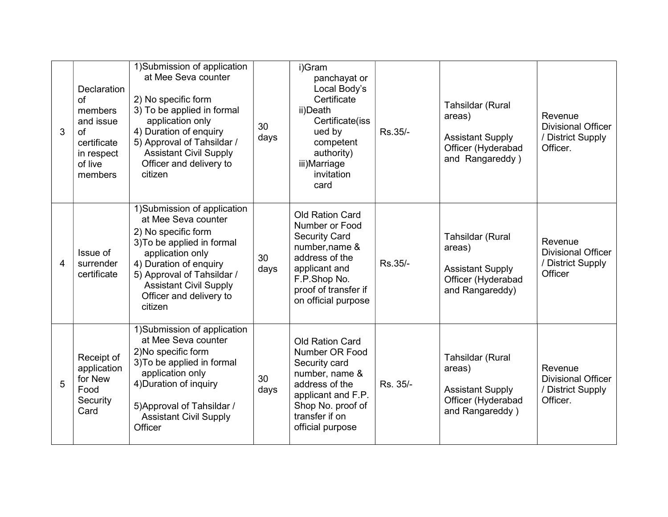| 3              | Declaration<br>of<br>members<br>and issue<br>of<br>certificate<br>in respect<br>of live<br>members | 1)Submission of application<br>at Mee Seva counter<br>2) No specific form<br>3) To be applied in formal<br>application only<br>4) Duration of enquiry<br>5) Approval of Tahsildar /<br><b>Assistant Civil Supply</b><br>Officer and delivery to<br>citizen | 30<br>days | i)Gram<br>panchayat or<br>Local Body's<br>Certificate<br>ii)Death<br>Certificate(iss<br>ued by<br>competent<br>authority)<br>iii)Marriage<br>invitation<br>card                      | Rs.35/-  | Tahsildar (Rural<br>areas)<br><b>Assistant Supply</b><br>Officer (Hyderabad<br>and Rangareddy) | Revenue<br><b>Divisional Officer</b><br>/ District Supply<br>Officer. |
|----------------|----------------------------------------------------------------------------------------------------|------------------------------------------------------------------------------------------------------------------------------------------------------------------------------------------------------------------------------------------------------------|------------|--------------------------------------------------------------------------------------------------------------------------------------------------------------------------------------|----------|------------------------------------------------------------------------------------------------|-----------------------------------------------------------------------|
| $\overline{4}$ | Issue of<br>surrender<br>certificate                                                               | 1)Submission of application<br>at Mee Seva counter<br>2) No specific form<br>3) To be applied in formal<br>application only<br>4) Duration of enquiry<br>5) Approval of Tahsildar /<br><b>Assistant Civil Supply</b><br>Officer and delivery to<br>citizen | 30<br>days | <b>Old Ration Card</b><br>Number or Food<br><b>Security Card</b><br>number, name &<br>address of the<br>applicant and<br>F.P.Shop No.<br>proof of transfer if<br>on official purpose | Rs.35/-  | Tahsildar (Rural<br>areas)<br><b>Assistant Supply</b><br>Officer (Hyderabad<br>and Rangareddy) | Revenue<br><b>Divisional Officer</b><br>/ District Supply<br>Officer  |
| 5              | Receipt of<br>application<br>for New<br>Food<br>Security<br>Card                                   | 1)Submission of application<br>at Mee Seva counter<br>2) No specific form<br>3) To be applied in formal<br>application only<br>4) Duration of inquiry<br>5) Approval of Tahsildar /<br><b>Assistant Civil Supply</b><br>Officer                            | 30<br>days | <b>Old Ration Card</b><br>Number OR Food<br>Security card<br>number, name &<br>address of the<br>applicant and F.P.<br>Shop No. proof of<br>transfer if on<br>official purpose       | Rs. 35/- | Tahsildar (Rural<br>areas)<br><b>Assistant Supply</b><br>Officer (Hyderabad<br>and Rangareddy) | Revenue<br><b>Divisional Officer</b><br>/ District Supply<br>Officer. |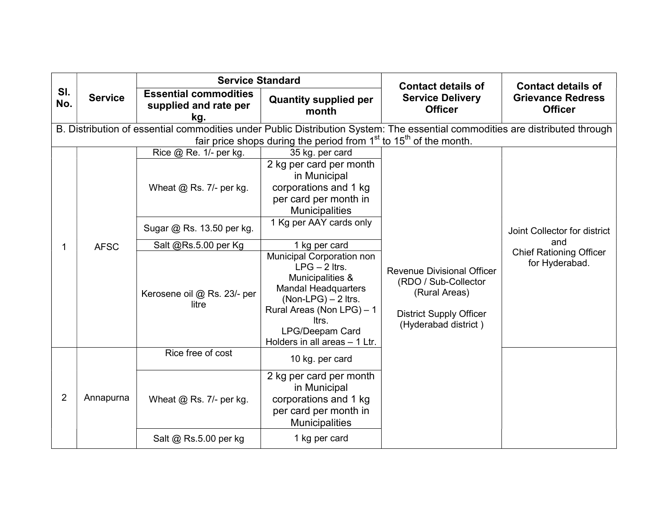|                |                                                                                                                                                                                                                                                                                                                                          | <b>Service Standard</b>                                                                                                      |                                                                                                                    | <b>Contact details of</b>                                                                                                            | <b>Contact details of</b>                               |  |  |
|----------------|------------------------------------------------------------------------------------------------------------------------------------------------------------------------------------------------------------------------------------------------------------------------------------------------------------------------------------------|------------------------------------------------------------------------------------------------------------------------------|--------------------------------------------------------------------------------------------------------------------|--------------------------------------------------------------------------------------------------------------------------------------|---------------------------------------------------------|--|--|
| SI.<br>No.     | <b>Service</b>                                                                                                                                                                                                                                                                                                                           | <b>Essential commodities</b><br>supplied and rate per<br>kg.                                                                 | <b>Quantity supplied per</b><br>month                                                                              | <b>Service Delivery</b><br><b>Officer</b>                                                                                            | <b>Grievance Redress</b><br><b>Officer</b>              |  |  |
|                |                                                                                                                                                                                                                                                                                                                                          | B. Distribution of essential commodities under Public Distribution System: The essential commodities are distributed through | fair price shops during the period from $1st$ to $15th$ of the month.                                              |                                                                                                                                      |                                                         |  |  |
|                |                                                                                                                                                                                                                                                                                                                                          | Rice @ Re. 1/- per kg.                                                                                                       | 35 kg. per card                                                                                                    |                                                                                                                                      |                                                         |  |  |
|                |                                                                                                                                                                                                                                                                                                                                          | Wheat $@$ Rs. 7/- per kg.                                                                                                    | 2 kg per card per month<br>in Municipal<br>corporations and 1 kg<br>per card per month in<br><b>Municipalities</b> |                                                                                                                                      |                                                         |  |  |
|                | 1 Kg per AAY cards only<br>Sugar @ Rs. 13.50 per kg.<br>1 kg per card<br>Salt @Rs.5.00 per Kg<br><b>AFSC</b><br>Municipal Corporation non<br>$LPG - 2$ ltrs.<br>Municipalities &<br><b>Mandal Headquarters</b><br>Kerosene oil @ Rs. 23/- per<br>$(Non-LPG) - 2$ ltrs.<br>litre<br>Rural Areas (Non LPG) - 1<br>ltrs.<br>LPG/Deepam Card |                                                                                                                              | Joint Collector for district                                                                                       |                                                                                                                                      |                                                         |  |  |
| 1              |                                                                                                                                                                                                                                                                                                                                          |                                                                                                                              |                                                                                                                    |                                                                                                                                      | and<br><b>Chief Rationing Officer</b><br>for Hyderabad. |  |  |
|                |                                                                                                                                                                                                                                                                                                                                          |                                                                                                                              | Holders in all areas - 1 Ltr.                                                                                      | <b>Revenue Divisional Officer</b><br>(RDO / Sub-Collector<br>(Rural Areas)<br><b>District Supply Officer</b><br>(Hyderabad district) |                                                         |  |  |
|                |                                                                                                                                                                                                                                                                                                                                          | Rice free of cost                                                                                                            | 10 kg. per card                                                                                                    |                                                                                                                                      |                                                         |  |  |
| $\overline{2}$ | Annapurna                                                                                                                                                                                                                                                                                                                                | Wheat $@$ Rs. 7/- per kg.                                                                                                    | 2 kg per card per month<br>in Municipal<br>corporations and 1 kg<br>per card per month in<br><b>Municipalities</b> |                                                                                                                                      |                                                         |  |  |
|                |                                                                                                                                                                                                                                                                                                                                          | Salt @ Rs.5.00 per kg                                                                                                        | 1 kg per card                                                                                                      |                                                                                                                                      |                                                         |  |  |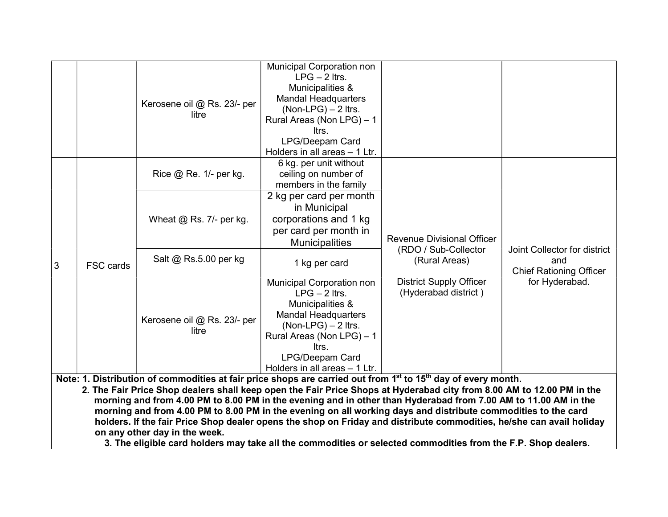|                                                                                                                                                                                                                                                                                                                                                                                  |                  | Kerosene oil @ Rs. 23/- per<br>litre | <b>Municipal Corporation non</b><br>$LPG - 2$ ltrs.<br>Municipalities &<br><b>Mandal Headquarters</b><br>$(Non-LPG) - 2$ ltrs.<br>Rural Areas (Non LPG) - 1<br>ltrs.<br>LPG/Deepam Card<br>Holders in all areas - 1 Ltr. |                                                        |                                                                       |
|----------------------------------------------------------------------------------------------------------------------------------------------------------------------------------------------------------------------------------------------------------------------------------------------------------------------------------------------------------------------------------|------------------|--------------------------------------|--------------------------------------------------------------------------------------------------------------------------------------------------------------------------------------------------------------------------|--------------------------------------------------------|-----------------------------------------------------------------------|
|                                                                                                                                                                                                                                                                                                                                                                                  |                  | Rice @ Re. 1/- per kg.               | 6 kg. per unit without<br>ceiling on number of<br>members in the family                                                                                                                                                  |                                                        |                                                                       |
|                                                                                                                                                                                                                                                                                                                                                                                  |                  | Wheat $@$ Rs. 7/- per kg.            | 2 kg per card per month<br>in Municipal<br>corporations and 1 kg<br>per card per month in<br><b>Municipalities</b>                                                                                                       | <b>Revenue Divisional Officer</b>                      | Joint Collector for district<br>and<br><b>Chief Rationing Officer</b> |
| l3                                                                                                                                                                                                                                                                                                                                                                               | <b>FSC cards</b> | Salt @ Rs.5.00 per kg                | 1 kg per card                                                                                                                                                                                                            | (RDO / Sub-Collector<br>(Rural Areas)                  |                                                                       |
|                                                                                                                                                                                                                                                                                                                                                                                  |                  | Kerosene oil @ Rs. 23/- per<br>litre | Municipal Corporation non<br>$LPG - 2$ ltrs.<br>Municipalities &<br><b>Mandal Headquarters</b><br>$(Non-LPG) - 2$ ltrs.<br>Rural Areas (Non LPG) - 1<br>ltrs.<br><b>LPG/Deepam Card</b><br>Holders in all areas - 1 Ltr. | <b>District Supply Officer</b><br>(Hyderabad district) | for Hyderabad.                                                        |
| Note: 1. Distribution of commodities at fair price shops are carried out from 1 <sup>st</sup> to 15 <sup>th</sup> day of every month.<br>2. The Fair Price Shop dealers shall keep open the Fair Price Shops at Hyderabad city from 8.00 AM to 12.00 PM in the<br>morning and from 4.00 PM to 8.00 PM in the evening and in other than Hyderabad from 7.00 AM to 11.00 AM in the |                  |                                      |                                                                                                                                                                                                                          |                                                        |                                                                       |

 morning and from 4.00 PM to 8.00 PM in the evening and in other than Hyderabad from 7.00 AM to 11.00 AM in the morning and from 4.00 PM to 8.00 PM in the evening on all working days and distribute commodities to the card holders. If the fair Price Shop dealer opens the shop on Friday and distribute commodities, he/she can avail holiday on any other day in the week.

3. The eligible card holders may take all the commodities or selected commodities from the F.P. Shop dealers.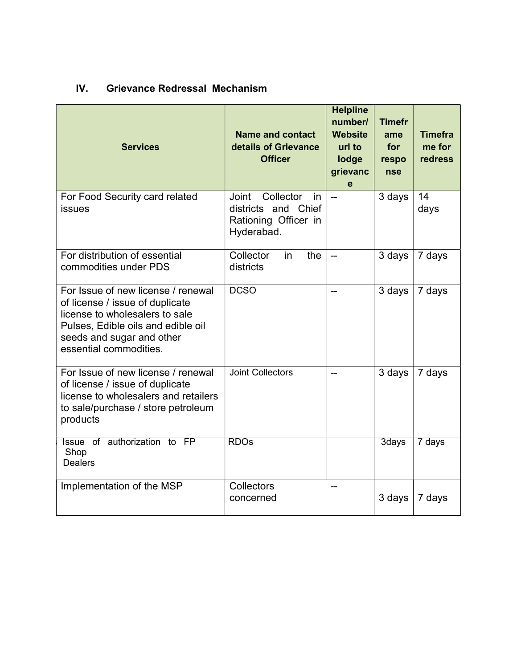# IV. Grievance Redressal Mechanism

| <b>Services</b>                                                                                                                                                                                      | <b>Name and contact</b><br>details of Grievance<br><b>Officer</b>                            | <b>Helpline</b><br>number/<br><b>Website</b><br>url to<br>lodge<br>grievanc<br>e | <b>Timefr</b><br>ame<br>for<br>respo<br><b>nse</b> | <b>Timefra</b><br>me for<br>redress |
|------------------------------------------------------------------------------------------------------------------------------------------------------------------------------------------------------|----------------------------------------------------------------------------------------------|----------------------------------------------------------------------------------|----------------------------------------------------|-------------------------------------|
| For Food Security card related<br>issues                                                                                                                                                             | Collector<br><b>Joint</b><br>in<br>districts and Chief<br>Rationing Officer in<br>Hyderabad. | $\overline{a}$                                                                   | 3 days                                             | 14<br>days                          |
| For distribution of essential<br>commodities under PDS                                                                                                                                               | Collector<br>the<br>in<br>districts                                                          | $\overline{\phantom{a}}$                                                         | 3 days                                             | 7 days                              |
| For Issue of new license / renewal<br>of license / issue of duplicate<br>license to wholesalers to sale<br>Pulses, Edible oils and edible oil<br>seeds and sugar and other<br>essential commodities. | <b>DCSO</b>                                                                                  | --                                                                               | 3 days                                             | 7 days                              |
| For Issue of new license / renewal<br>of license / issue of duplicate<br>license to wholesalers and retailers<br>to sale/purchase / store petroleum<br>products                                      | <b>Joint Collectors</b>                                                                      |                                                                                  | 3 days                                             | 7 days                              |
| Issue of authorization to FP<br>Shop<br><b>Dealers</b>                                                                                                                                               | <b>RDOs</b>                                                                                  |                                                                                  | 3days                                              | 7 days                              |
| Implementation of the MSP                                                                                                                                                                            | Collectors<br>concerned                                                                      | --                                                                               | 3 days                                             | 7 days                              |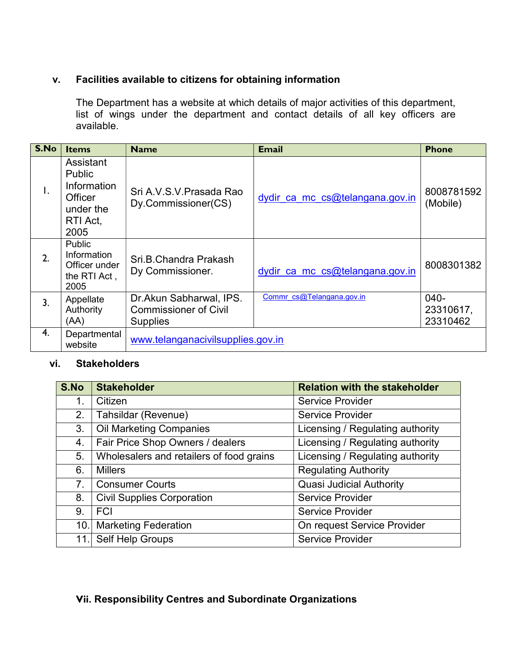#### v. Facilities available to citizens for obtaining information

The Department has a website at which details of major activities of this department, list of wings under the department and contact details of all key officers are available.

| S.No         | <b>Items</b>                                                                          | <b>Name</b>                                                                | <b>Email</b>                    | <b>Phone</b>                    |
|--------------|---------------------------------------------------------------------------------------|----------------------------------------------------------------------------|---------------------------------|---------------------------------|
| $\mathsf{L}$ | Assistant<br>Public<br>Information<br><b>Officer</b><br>under the<br>RTI Act,<br>2005 | Sri A V S V Prasada Rao<br>Dy.Commissioner(CS)                             | dydir ca mc cs@telangana.gov.in | 8008781592<br>(Mobile)          |
| 2.           | <b>Public</b><br>Information<br>Officer under<br>the RTI Act,<br>2005                 | Sri.B.Chandra Prakash<br>Dy Commissioner.                                  | dydir ca mc cs@telangana.gov.in | 8008301382                      |
| 3.           | Appellate<br>Authority<br>(AA)                                                        | Dr.Akun Sabharwal, IPS.<br><b>Commissioner of Civil</b><br><b>Supplies</b> | Commr cs@Telangana.gov.in       | $040-$<br>23310617,<br>23310462 |
| 4.           | Departmental<br>website                                                               | www.telanganacivilsupplies.gov.in                                          |                                 |                                 |

#### vi. Stakeholders

| S.No                                 | <b>Stakeholder</b>                       | <b>Relation with the stakeholder</b> |
|--------------------------------------|------------------------------------------|--------------------------------------|
| 1.                                   | Citizen                                  | <b>Service Provider</b>              |
| 2.                                   | Tahsildar (Revenue)                      | <b>Service Provider</b>              |
| <b>Oil Marketing Companies</b><br>3. |                                          | Licensing / Regulating authority     |
| 4.                                   | Fair Price Shop Owners / dealers         | Licensing / Regulating authority     |
| 5.                                   | Wholesalers and retailers of food grains | Licensing / Regulating authority     |
| 6.                                   | <b>Millers</b>                           | <b>Regulating Authority</b>          |
| 7 <sub>1</sub>                       | <b>Consumer Courts</b>                   | <b>Quasi Judicial Authority</b>      |
| 8.                                   | <b>Civil Supplies Corporation</b>        | <b>Service Provider</b>              |
| 9.                                   | <b>FCI</b>                               | <b>Service Provider</b>              |
| 10.1                                 | <b>Marketing Federation</b>              | On request Service Provider          |
| 11.                                  | Self Help Groups                         | <b>Service Provider</b>              |

### Vii. Responsibility Centres and Subordinate Organizations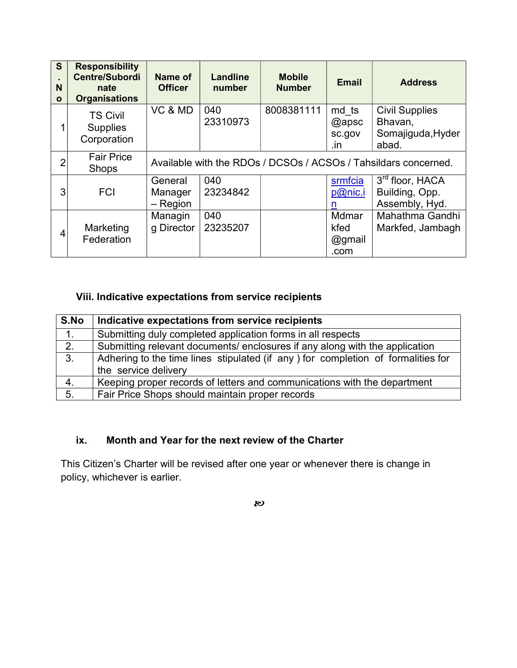| S<br>N<br>$\mathbf{o}$ | <b>Responsibility</b><br><b>Centre/Subordi</b><br>nate<br><b>Organisations</b> | Name of<br><b>Officer</b>        | <b>Landline</b><br>number | <b>Mobile</b><br><b>Number</b> | <b>Email</b>                    | <b>Address</b>                                                  |
|------------------------|--------------------------------------------------------------------------------|----------------------------------|---------------------------|--------------------------------|---------------------------------|-----------------------------------------------------------------|
| 1                      | <b>TS Civil</b><br><b>Supplies</b><br>Corporation                              | VC & MD                          | 040<br>23310973           | 8008381111                     | md ts<br>@apsc<br>sc.gov<br>.in | <b>Civil Supplies</b><br>Bhavan,<br>Somajiguda, Hyder<br>abad.  |
| $\overline{2}$         | <b>Fair Price</b><br><b>Shops</b>                                              |                                  |                           |                                |                                 | Available with the RDOs / DCSOs / ACSOs / Tahsildars concerned. |
| 3                      | <b>FCI</b>                                                                     | General<br>Manager<br>$-$ Region | 040<br>23234842           |                                | srmfcia<br>p@nic.i<br>n         | 3 <sup>rd</sup> floor, HACA<br>Building, Opp.<br>Assembly, Hyd. |
| 4                      | Marketing<br>Federation                                                        | Managin<br>g Director            | 040<br>23235207           |                                | Mdmar<br>kfed<br>@gmail<br>.com | Mahathma Gandhi<br>Markfed, Jambagh                             |

# Viii. Indicative expectations from service recipients

| S.No | Indicative expectations from service recipients                                                           |
|------|-----------------------------------------------------------------------------------------------------------|
| 1.   | Submitting duly completed application forms in all respects                                               |
| 2.   | Submitting relevant documents/ enclosures if any along with the application                               |
| 3.   | Adhering to the time lines stipulated (if any ) for completion of formalities for<br>the service delivery |
| 4.   | Keeping proper records of letters and communications with the department                                  |
| 5.   | Fair Price Shops should maintain proper records                                                           |

### ix. Month and Year for the next review of the Charter

This Citizen's Charter will be revised after one year or whenever there is change in policy, whichever is earlier.

 $\boldsymbol{\mathcal{W}}$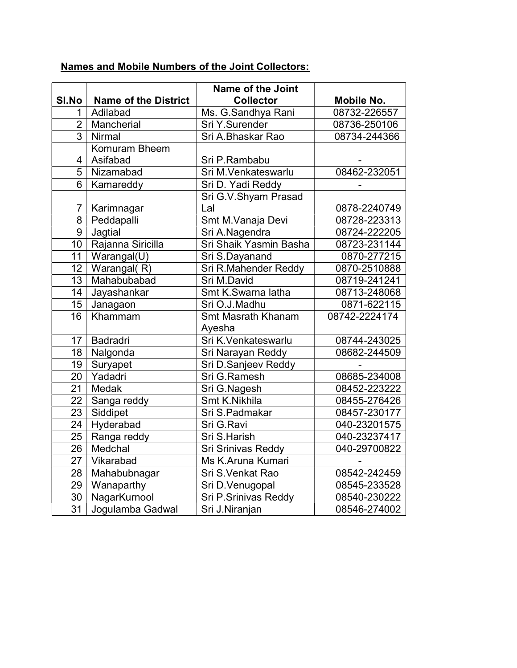|                 |                             | Name of the Joint         |               |
|-----------------|-----------------------------|---------------------------|---------------|
| SI.No<br>1      | <b>Name of the District</b> | <b>Collector</b>          | Mobile No.    |
| $\overline{2}$  | Adilabad                    | Ms. G.Sandhya Rani        | 08732-226557  |
| $\overline{3}$  | Mancherial                  | Sri Y.Surender            | 08736-250106  |
|                 | Nirmal                      | Sri A.Bhaskar Rao         | 08734-244366  |
|                 | Komuram Bheem               |                           |               |
| 4               | Asifabad                    | Sri P.Rambabu             |               |
| $\overline{5}$  | Nizamabad                   | Sri M.Venkateswarlu       | 08462-232051  |
| 6               | Kamareddy                   | Sri D. Yadi Reddy         |               |
|                 |                             | Sri G.V.Shyam Prasad      |               |
| 7               | Karimnagar                  | Lal                       | 0878-2240749  |
| 8               | Peddapalli                  | Smt M.Vanaja Devi         | 08728-223313  |
| 9               | Jagtial                     | Sri A.Nagendra            | 08724-222205  |
| 10              | Rajanna Siricilla           | Sri Shaik Yasmin Basha    | 08723-231144  |
| 11              | Warangal(U)                 | Sri S.Dayanand            | 0870-277215   |
| 12              | Warangal(R)                 | Sri R.Mahender Reddy      | 0870-2510888  |
| $\overline{13}$ | Mahabubabad                 | Sri M.David               | 08719-241241  |
| 14              | Jayashankar                 | Smt K.Swarna latha        | 08713-248068  |
| $\overline{15}$ | Janagaon                    | Sri O.J.Madhu             | 0871-622115   |
| 16              | Khammam                     | <b>Smt Masrath Khanam</b> | 08742-2224174 |
|                 |                             | Ayesha                    |               |
| 17              | Badradri                    | Sri K.Venkateswarlu       | 08744-243025  |
| 18              | Nalgonda                    | Sri Narayan Reddy         | 08682-244509  |
| 19              | Suryapet                    | Sri D.Sanjeev Reddy       |               |
| 20              | Yadadri                     | Sri G.Ramesh              | 08685-234008  |
| 21              | Medak                       | Sri G.Nagesh              | 08452-223222  |
| 22              | Sanga reddy                 | Smt K.Nikhila             | 08455-276426  |
| $\overline{23}$ | Siddipet                    | Sri S.Padmakar            | 08457-230177  |
| $\overline{24}$ | Hyderabad                   | Sri G.Ravi                | 040-23201575  |
| $\overline{25}$ | Ranga reddy                 | Sri S.Harish              | 040-23237417  |
| $\overline{26}$ | Medchal                     | Sri Srinivas Reddy        | 040-29700822  |
| $\overline{27}$ | Vikarabad                   | Ms K.Aruna Kumari         |               |
| 28              | Mahabubnagar                | Sri S.Venkat Rao          | 08542-242459  |
| $\overline{29}$ | Wanaparthy                  | Sri D.Venugopal           | 08545-233528  |
| 30              | NagarKurnool                | Sri P.Srinivas Reddy      | 08540-230222  |
| $\overline{31}$ | Jogulamba Gadwal            | Sri J.Niranjan            | 08546-274002  |

# Names and Mobile Numbers of the Joint Collectors: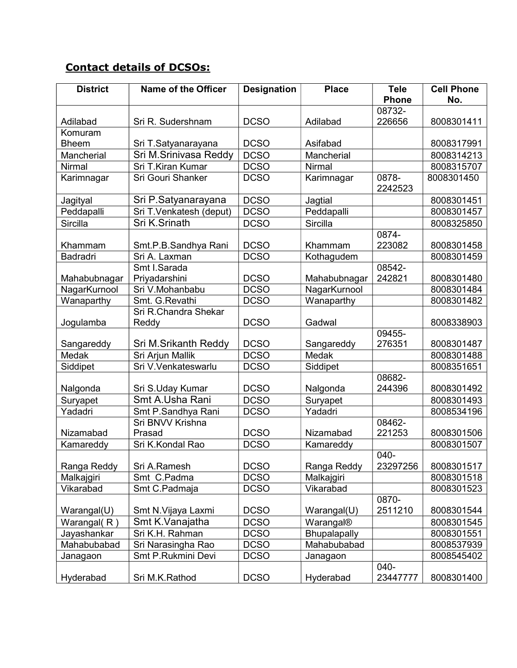# Contact details of DCSOs:

| <b>District</b> | <b>Name of the Officer</b> | <b>Designation</b> | <b>Place</b> | <b>Tele</b>      | <b>Cell Phone</b> |
|-----------------|----------------------------|--------------------|--------------|------------------|-------------------|
|                 |                            |                    |              | <b>Phone</b>     | No.               |
|                 |                            |                    |              | 08732-           |                   |
| Adilabad        | Sri R. Sudershnam          | <b>DCSO</b>        | Adilabad     | 226656           | 8008301411        |
| Komuram         |                            |                    |              |                  |                   |
| <b>Bheem</b>    | Sri T.Satyanarayana        | <b>DCSO</b>        | Asifabad     |                  | 8008317991        |
| Mancherial      | Sri M.Srinivasa Reddy      | <b>DCSO</b>        | Mancherial   |                  | 8008314213        |
| <b>Nirmal</b>   | Sri T.Kiran Kumar          | <b>DCSO</b>        | Nirmal       |                  | 8008315707        |
| Karimnagar      | Sri Gouri Shanker          | <b>DCSO</b>        | Karimnagar   | 0878-<br>2242523 | 8008301450        |
| Jagityal        | Sri P.Satyanarayana        | <b>DCSO</b>        | Jagtial      |                  | 8008301451        |
| Peddapalli      | Sri T.Venkatesh (deput)    | <b>DCSO</b>        | Peddapalli   |                  | 8008301457        |
| <b>Sircilla</b> | Sri K.Srinath              | <b>DCSO</b>        | Sircilla     |                  | 8008325850        |
| Khammam         | Smt.P.B.Sandhya Rani       | <b>DCSO</b>        | Khammam      | 0874-<br>223082  | 8008301458        |
| <b>Badradri</b> | Sri A. Laxman              | <b>DCSO</b>        | Kothagudem   |                  | 8008301459        |
|                 | Smt I.Sarada               |                    |              | 08542-           |                   |
| Mahabubnagar    | Priyadarshini              | <b>DCSO</b>        | Mahabubnagar | 242821           | 8008301480        |
| NagarKurnool    | Sri V.Mohanbabu            | <b>DCSO</b>        | NagarKurnool |                  | 8008301484        |
| Wanaparthy      | Smt. G.Revathi             | <b>DCSO</b>        | Wanaparthy   |                  | 8008301482        |
|                 | Sri R.Chandra Shekar       |                    |              |                  |                   |
| Jogulamba       | Reddy                      | <b>DCSO</b>        | Gadwal       |                  | 8008338903        |
|                 |                            |                    |              | 09455-           |                   |
| Sangareddy      | Sri M.Srikanth Reddy       | <b>DCSO</b>        | Sangareddy   | 276351           | 8008301487        |
| Medak           | Sri Arjun Mallik           | <b>DCSO</b>        | Medak        |                  | 8008301488        |
| Siddipet        | Sri V.Venkateswarlu        | <b>DCSO</b>        | Siddipet     |                  | 8008351651        |
|                 |                            |                    |              | 08682-           |                   |
| Nalgonda        | Sri S.Uday Kumar           | <b>DCSO</b>        | Nalgonda     | 244396           | 8008301492        |
| Suryapet        | Smt A.Usha Rani            | <b>DCSO</b>        | Suryapet     |                  | 8008301493        |
| Yadadri         | Smt P.Sandhya Rani         | <b>DCSO</b>        | Yadadri      |                  | 8008534196        |
|                 | Sri BNVV Krishna           |                    |              | 08462-           |                   |
| Nizamabad       | Prasad                     | <b>DCSO</b>        | Nizamabad    | 221253           | 8008301506        |
| Kamareddy       | Sri K.Kondal Rao           | <b>DCSO</b>        | Kamareddy    |                  | 8008301507        |
|                 |                            |                    |              | 040-             |                   |
| Ranga Reddy     | Sri A.Ramesh               | <b>DCSO</b>        | Ranga Reddy  | 23297256         | 8008301517        |
| Malkajgiri      | Smt C.Padma                | <b>DCSO</b>        | Malkajgiri   |                  | 8008301518        |
| Vikarabad       | Smt C.Padmaja              | <b>DCSO</b>        | Vikarabad    |                  | 8008301523        |
| Warangal(U)     | Smt N. Vijaya Laxmi        | <b>DCSO</b>        | Warangal(U)  | 0870-<br>2511210 | 8008301544        |
| Warangal(R)     | Smt K.Vanajatha            | <b>DCSO</b>        | Warangal®    |                  | 8008301545        |
| Jayashankar     | Sri K.H. Rahman            | <b>DCSO</b>        | Bhupalapally |                  | 8008301551        |
| Mahabubabad     | Sri Narasingha Rao         | <b>DCSO</b>        | Mahabubabad  |                  | 8008537939        |
| Janagaon        | Smt P.Rukmini Devi         | <b>DCSO</b>        | Janagaon     |                  | 8008545402        |
| Hyderabad       | Sri M.K.Rathod             | <b>DCSO</b>        | Hyderabad    | 040-<br>23447777 | 8008301400        |
|                 |                            |                    |              |                  |                   |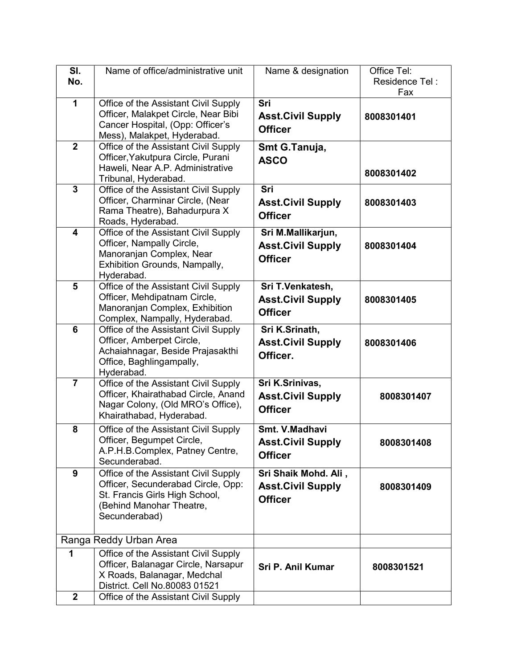| SI.            | Name of office/administrative unit                                                                                                                        | Name & designation                                                 | Office Tel:           |
|----------------|-----------------------------------------------------------------------------------------------------------------------------------------------------------|--------------------------------------------------------------------|-----------------------|
| No.            |                                                                                                                                                           |                                                                    | Residence Tel:<br>Fax |
| 1              | Office of the Assistant Civil Supply<br>Officer, Malakpet Circle, Near Bibi<br>Cancer Hospital, (Opp: Officer's<br>Mess), Malakpet, Hyderabad.            | Sri<br><b>Asst.Civil Supply</b><br><b>Officer</b>                  | 8008301401            |
| $\overline{2}$ | Office of the Assistant Civil Supply<br>Officer, Yakutpura Circle, Purani<br>Haweli, Near A.P. Administrative<br>Tribunal, Hyderabad.                     | Smt G.Tanuja,<br><b>ASCO</b>                                       | 8008301402            |
| $\mathbf{3}$   | Office of the Assistant Civil Supply<br>Officer, Charminar Circle, (Near<br>Rama Theatre), Bahadurpura X<br>Roads, Hyderabad.                             | Sri<br><b>Asst.Civil Supply</b><br><b>Officer</b>                  | 8008301403            |
| 4              | Office of the Assistant Civil Supply<br>Officer, Nampally Circle,<br>Manoranjan Complex, Near<br>Exhibition Grounds, Nampally,<br>Hyderabad.              | Sri M.Mallikarjun,<br><b>Asst.Civil Supply</b><br><b>Officer</b>   | 8008301404            |
| $5\phantom{1}$ | Office of the Assistant Civil Supply<br>Officer, Mehdipatnam Circle,<br>Manoranjan Complex, Exhibition<br>Complex, Nampally, Hyderabad.                   | Sri T.Venkatesh,<br><b>Asst.Civil Supply</b><br><b>Officer</b>     | 8008301405            |
| 6              | Office of the Assistant Civil Supply<br>Officer, Amberpet Circle,<br>Achaiahnagar, Beside Prajasakthi<br>Office, Baghlingampally,<br>Hyderabad.           | Sri K.Srinath,<br><b>Asst.Civil Supply</b><br>Officer.             | 8008301406            |
| $\overline{7}$ | Office of the Assistant Civil Supply<br>Officer, Khairathabad Circle, Anand<br>Nagar Colony, (Old MRO's Office),<br>Khairathabad, Hyderabad.              | Sri K.Srinivas,<br><b>Asst.Civil Supply</b><br><b>Officer</b>      | 8008301407            |
| 8              | Office of the Assistant Civil Supply<br>Officer, Begumpet Circle,<br>A.P.H.B.Complex, Patney Centre,<br>Secunderabad.                                     | Smt. V.Madhavi<br><b>Asst.Civil Supply</b><br><b>Officer</b>       | 8008301408            |
| 9              | Office of the Assistant Civil Supply<br>Officer, Secunderabad Circle, Opp:<br>St. Francis Girls High School,<br>(Behind Manohar Theatre,<br>Secunderabad) | Sri Shaik Mohd. Ali,<br><b>Asst.Civil Supply</b><br><b>Officer</b> | 8008301409            |
|                | Ranga Reddy Urban Area                                                                                                                                    |                                                                    |                       |
| 1              | Office of the Assistant Civil Supply<br>Officer, Balanagar Circle, Narsapur<br>X Roads, Balanagar, Medchal<br>District. Cell No.80083 01521               | Sri P. Anil Kumar                                                  | 8008301521            |
| $\mathbf{2}$   | Office of the Assistant Civil Supply                                                                                                                      |                                                                    |                       |